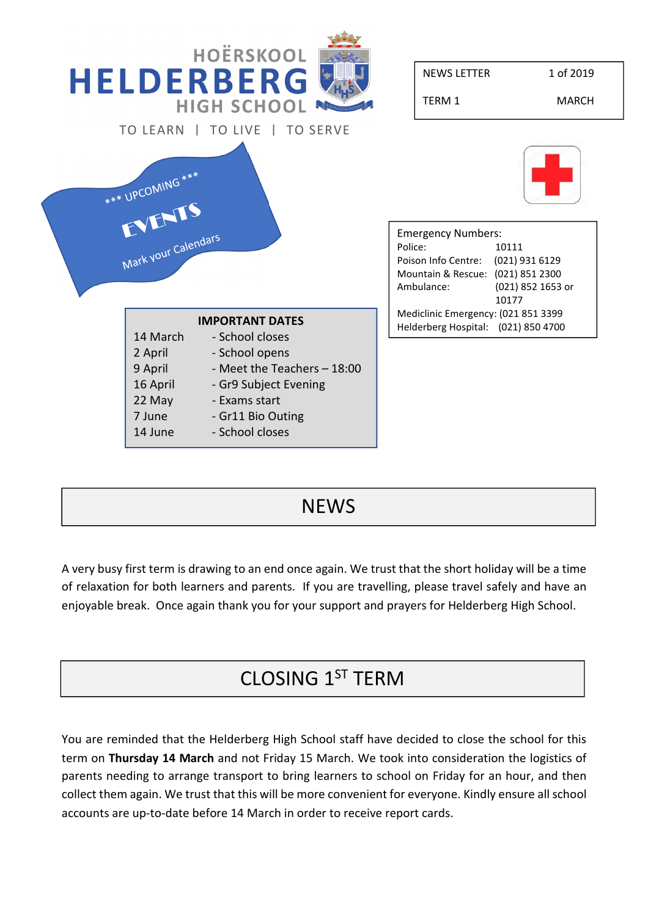

#### **NEWS**

A very busy first term is drawing to an end once again. We trust that the short holiday will be a time of relaxation for both learners and parents. If you are travelling, please travel safely and have an enjoyable break. Once again thank you for your support and prayers for Helderberg High School.

## CLOSING 1ST TERM

You are reminded that the Helderberg High School staff have decided to close the school for this term on Thursday 14 March and not Friday 15 March. We took into consideration the logistics of parents needing to arrange transport to bring learners to school on Friday for an hour, and then collect them again. We trust that this will be more convenient for everyone. Kindly ensure all school accounts are up-to-date before 14 March in order to receive report cards.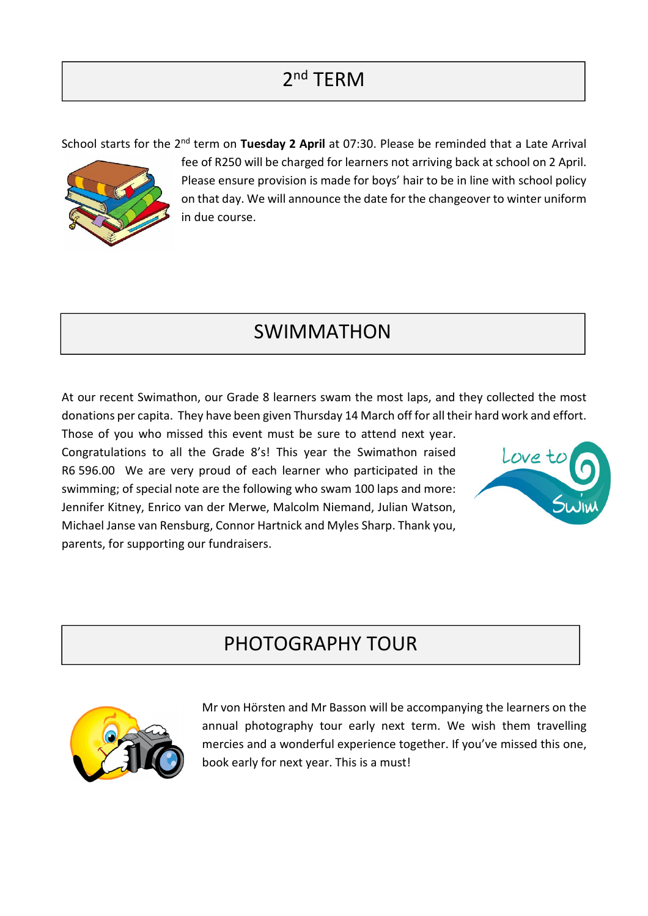# 2<sup>nd</sup> TERM

School starts for the  $2^{nd}$  term on Tuesday 2 April at 07:30. Please be reminded that a Late Arrival



fee of R250 will be charged for learners not arriving back at school on 2 April. Please ensure provision is made for boys' hair to be in line with school policy on that day. We will announce the date for the changeover to winter uniform in due course.

## SWIMMATHON

At our recent Swimathon, our Grade 8 learners swam the most laps, and they collected the most donations per capita. They have been given Thursday 14 March off for all their hard work and effort.

Those of you who missed this event must be sure to attend next year. Congratulations to all the Grade 8's! This year the Swimathon raised R6 596.00 We are very proud of each learner who participated in the swimming; of special note are the following who swam 100 laps and more: Jennifer Kitney, Enrico van der Merwe, Malcolm Niemand, Julian Watson, Michael Janse van Rensburg, Connor Hartnick and Myles Sharp. Thank you, parents, for supporting our fundraisers.



## PHOTOGRAPHY TOUR



Mr von Hörsten and Mr Basson will be accompanying the learners on the annual photography tour early next term. We wish them travelling mercies and a wonderful experience together. If you've missed this one, book early for next year. This is a must!